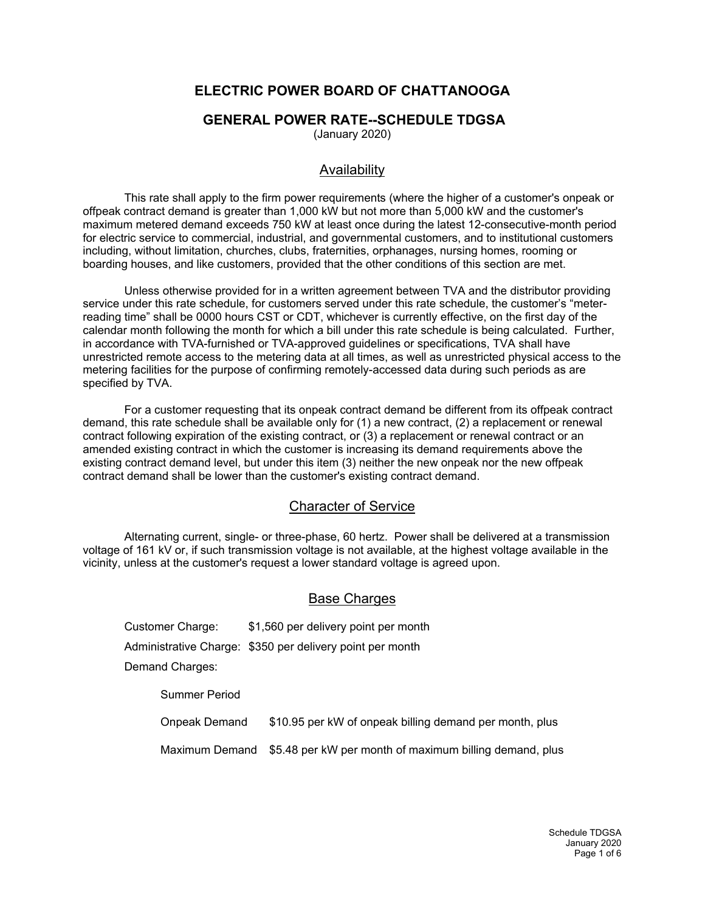# **ELECTRIC POWER BOARD OF CHATTANOOGA**

## **GENERAL POWER RATE--SCHEDULE TDGSA**

(January 2020)

## Availability

This rate shall apply to the firm power requirements (where the higher of a customer's onpeak or offpeak contract demand is greater than 1,000 kW but not more than 5,000 kW and the customer's maximum metered demand exceeds 750 kW at least once during the latest 12-consecutive-month period for electric service to commercial, industrial, and governmental customers, and to institutional customers including, without limitation, churches, clubs, fraternities, orphanages, nursing homes, rooming or boarding houses, and like customers, provided that the other conditions of this section are met.

Unless otherwise provided for in a written agreement between TVA and the distributor providing service under this rate schedule, for customers served under this rate schedule, the customer's "meterreading time" shall be 0000 hours CST or CDT, whichever is currently effective, on the first day of the calendar month following the month for which a bill under this rate schedule is being calculated. Further, in accordance with TVA-furnished or TVA-approved guidelines or specifications, TVA shall have unrestricted remote access to the metering data at all times, as well as unrestricted physical access to the metering facilities for the purpose of confirming remotely-accessed data during such periods as are specified by TVA.

For a customer requesting that its onpeak contract demand be different from its offpeak contract demand, this rate schedule shall be available only for (1) a new contract, (2) a replacement or renewal contract following expiration of the existing contract, or (3) a replacement or renewal contract or an amended existing contract in which the customer is increasing its demand requirements above the existing contract demand level, but under this item (3) neither the new onpeak nor the new offpeak contract demand shall be lower than the customer's existing contract demand.

## Character of Service

Alternating current, single- or three-phase, 60 hertz. Power shall be delivered at a transmission voltage of 161 kV or, if such transmission voltage is not available, at the highest voltage available in the vicinity, unless at the customer's request a lower standard voltage is agreed upon.

## Base Charges

Customer Charge: \$1,560 per delivery point per month Administrative Charge: \$350 per delivery point per month Demand Charges: Summer Period

Onpeak Demand \$10.95 per kW of onpeak billing demand per month, plus

Maximum Demand \$5.48 per kW per month of maximum billing demand, plus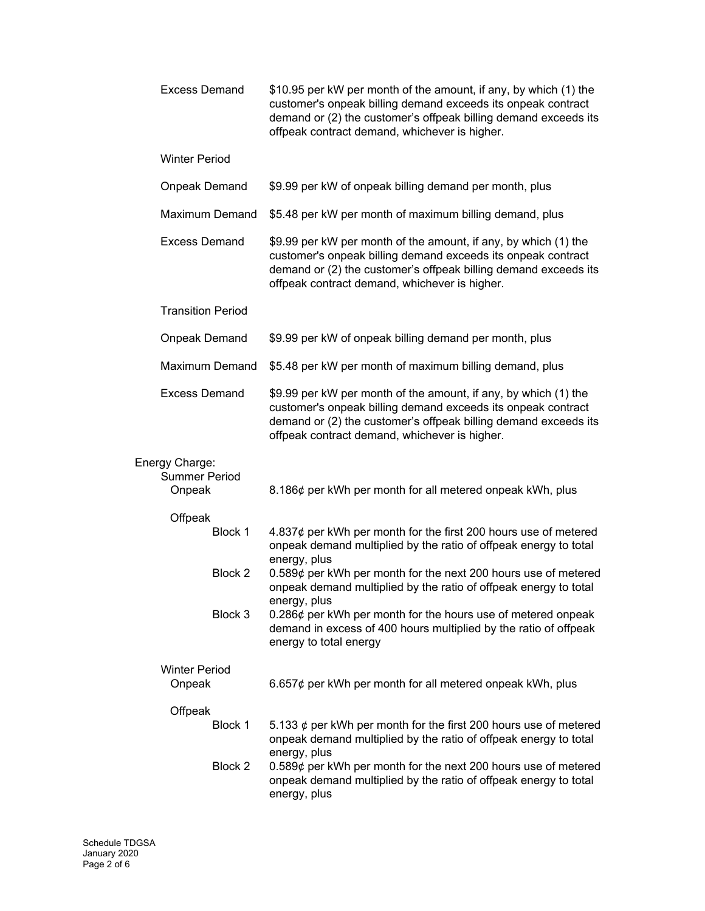| <b>Excess Demand</b>                             | \$10.95 per kW per month of the amount, if any, by which (1) the<br>customer's onpeak billing demand exceeds its onpeak contract<br>demand or (2) the customer's offpeak billing demand exceeds its<br>offpeak contract demand, whichever is higher. |
|--------------------------------------------------|------------------------------------------------------------------------------------------------------------------------------------------------------------------------------------------------------------------------------------------------------|
| <b>Winter Period</b>                             |                                                                                                                                                                                                                                                      |
| <b>Onpeak Demand</b>                             | \$9.99 per kW of onpeak billing demand per month, plus                                                                                                                                                                                               |
| <b>Maximum Demand</b>                            | \$5.48 per kW per month of maximum billing demand, plus                                                                                                                                                                                              |
| <b>Excess Demand</b>                             | \$9.99 per kW per month of the amount, if any, by which (1) the<br>customer's onpeak billing demand exceeds its onpeak contract<br>demand or (2) the customer's offpeak billing demand exceeds its<br>offpeak contract demand, whichever is higher.  |
| <b>Transition Period</b>                         |                                                                                                                                                                                                                                                      |
| <b>Onpeak Demand</b>                             | \$9.99 per kW of onpeak billing demand per month, plus                                                                                                                                                                                               |
| <b>Maximum Demand</b>                            | \$5.48 per kW per month of maximum billing demand, plus                                                                                                                                                                                              |
| <b>Excess Demand</b>                             | \$9.99 per kW per month of the amount, if any, by which (1) the<br>customer's onpeak billing demand exceeds its onpeak contract<br>demand or (2) the customer's offpeak billing demand exceeds its<br>offpeak contract demand, whichever is higher.  |
| Energy Charge:<br><b>Summer Period</b><br>Onpeak | 8.186¢ per kWh per month for all metered onpeak kWh, plus                                                                                                                                                                                            |
| Offpeak                                          |                                                                                                                                                                                                                                                      |
| Block 1                                          | 4.837 $\phi$ per kWh per month for the first 200 hours use of metered<br>onpeak demand multiplied by the ratio of offpeak energy to total                                                                                                            |
| Block 2                                          | energy, plus<br>0.589¢ per kWh per month for the next 200 hours use of metered<br>onpeak demand multiplied by the ratio of offpeak energy to total<br>energy, plus                                                                                   |
| Block 3                                          | 0.286¢ per kWh per month for the hours use of metered onpeak<br>demand in excess of 400 hours multiplied by the ratio of offpeak<br>energy to total energy                                                                                           |
| <b>Winter Period</b><br>Onpeak                   | 6.657 $\phi$ per kWh per month for all metered onpeak kWh, plus                                                                                                                                                                                      |
| Offpeak                                          |                                                                                                                                                                                                                                                      |
| Block 1                                          | 5.133 $\phi$ per kWh per month for the first 200 hours use of metered<br>onpeak demand multiplied by the ratio of offpeak energy to total<br>energy, plus                                                                                            |
| Block 2                                          | 0.589¢ per kWh per month for the next 200 hours use of metered<br>onpeak demand multiplied by the ratio of offpeak energy to total<br>energy, plus                                                                                                   |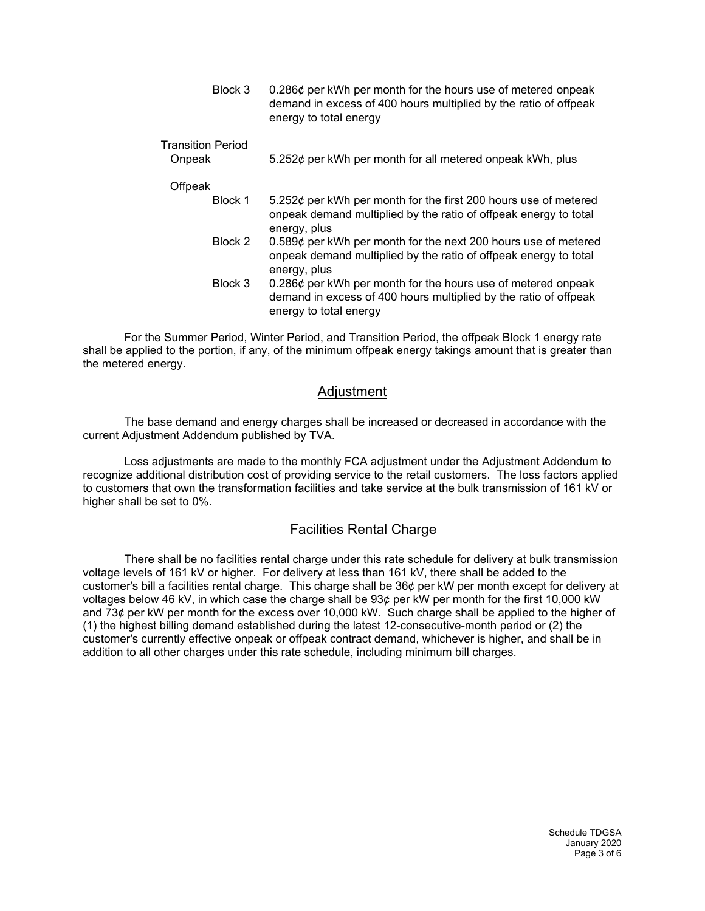| Block 3                            | 0.286¢ per kWh per month for the hours use of metered onpeak<br>demand in excess of 400 hours multiplied by the ratio of offpeak<br>energy to total energy |
|------------------------------------|------------------------------------------------------------------------------------------------------------------------------------------------------------|
| <b>Transition Period</b><br>Onpeak | 5.252¢ per kWh per month for all metered onpeak kWh, plus                                                                                                  |
| Offpeak                            |                                                                                                                                                            |
| Block 1                            | 5.252¢ per kWh per month for the first 200 hours use of metered<br>onpeak demand multiplied by the ratio of offpeak energy to total<br>energy, plus        |
| Block 2                            | 0.589¢ per kWh per month for the next 200 hours use of metered<br>onpeak demand multiplied by the ratio of offpeak energy to total                         |

energy, plus Block 3 0.286¢ per kWh per month for the hours use of metered onpeak demand in excess of 400 hours multiplied by the ratio of offpeak energy to total energy

For the Summer Period, Winter Period, and Transition Period, the offpeak Block 1 energy rate shall be applied to the portion, if any, of the minimum offpeak energy takings amount that is greater than the metered energy.

## Adjustment

The base demand and energy charges shall be increased or decreased in accordance with the current Adjustment Addendum published by TVA.

Loss adjustments are made to the monthly FCA adjustment under the Adjustment Addendum to recognize additional distribution cost of providing service to the retail customers. The loss factors applied to customers that own the transformation facilities and take service at the bulk transmission of 161 kV or higher shall be set to 0%.

## Facilities Rental Charge

There shall be no facilities rental charge under this rate schedule for delivery at bulk transmission voltage levels of 161 kV or higher. For delivery at less than 161 kV, there shall be added to the customer's bill a facilities rental charge. This charge shall be 36¢ per kW per month except for delivery at voltages below 46 kV, in which case the charge shall be 93¢ per kW per month for the first 10,000 kW and 73¢ per kW per month for the excess over 10,000 kW. Such charge shall be applied to the higher of (1) the highest billing demand established during the latest 12-consecutive-month period or (2) the customer's currently effective onpeak or offpeak contract demand, whichever is higher, and shall be in addition to all other charges under this rate schedule, including minimum bill charges.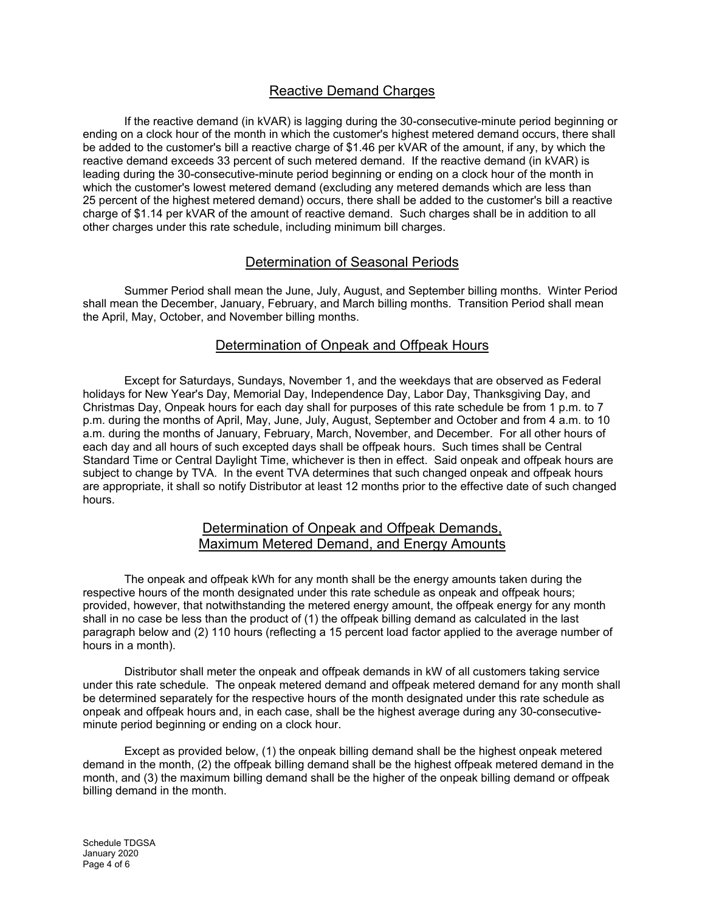# Reactive Demand Charges

If the reactive demand (in kVAR) is lagging during the 30-consecutive-minute period beginning or ending on a clock hour of the month in which the customer's highest metered demand occurs, there shall be added to the customer's bill a reactive charge of \$1.46 per kVAR of the amount, if any, by which the reactive demand exceeds 33 percent of such metered demand. If the reactive demand (in kVAR) is leading during the 30-consecutive-minute period beginning or ending on a clock hour of the month in which the customer's lowest metered demand (excluding any metered demands which are less than 25 percent of the highest metered demand) occurs, there shall be added to the customer's bill a reactive charge of \$1.14 per kVAR of the amount of reactive demand. Such charges shall be in addition to all other charges under this rate schedule, including minimum bill charges.

## Determination of Seasonal Periods

Summer Period shall mean the June, July, August, and September billing months. Winter Period shall mean the December, January, February, and March billing months. Transition Period shall mean the April, May, October, and November billing months.

## Determination of Onpeak and Offpeak Hours

Except for Saturdays, Sundays, November 1, and the weekdays that are observed as Federal holidays for New Year's Day, Memorial Day, Independence Day, Labor Day, Thanksgiving Day, and Christmas Day, Onpeak hours for each day shall for purposes of this rate schedule be from 1 p.m. to 7 p.m. during the months of April, May, June, July, August, September and October and from 4 a.m. to 10 a.m. during the months of January, February, March, November, and December. For all other hours of each day and all hours of such excepted days shall be offpeak hours. Such times shall be Central Standard Time or Central Daylight Time, whichever is then in effect. Said onpeak and offpeak hours are subject to change by TVA. In the event TVA determines that such changed onpeak and offpeak hours are appropriate, it shall so notify Distributor at least 12 months prior to the effective date of such changed hours.

## Determination of Onpeak and Offpeak Demands, Maximum Metered Demand, and Energy Amounts

The onpeak and offpeak kWh for any month shall be the energy amounts taken during the respective hours of the month designated under this rate schedule as onpeak and offpeak hours; provided, however, that notwithstanding the metered energy amount, the offpeak energy for any month shall in no case be less than the product of (1) the offpeak billing demand as calculated in the last paragraph below and (2) 110 hours (reflecting a 15 percent load factor applied to the average number of hours in a month).

Distributor shall meter the onpeak and offpeak demands in kW of all customers taking service under this rate schedule. The onpeak metered demand and offpeak metered demand for any month shall be determined separately for the respective hours of the month designated under this rate schedule as onpeak and offpeak hours and, in each case, shall be the highest average during any 30-consecutiveminute period beginning or ending on a clock hour.

Except as provided below, (1) the onpeak billing demand shall be the highest onpeak metered demand in the month, (2) the offpeak billing demand shall be the highest offpeak metered demand in the month, and (3) the maximum billing demand shall be the higher of the onpeak billing demand or offpeak billing demand in the month.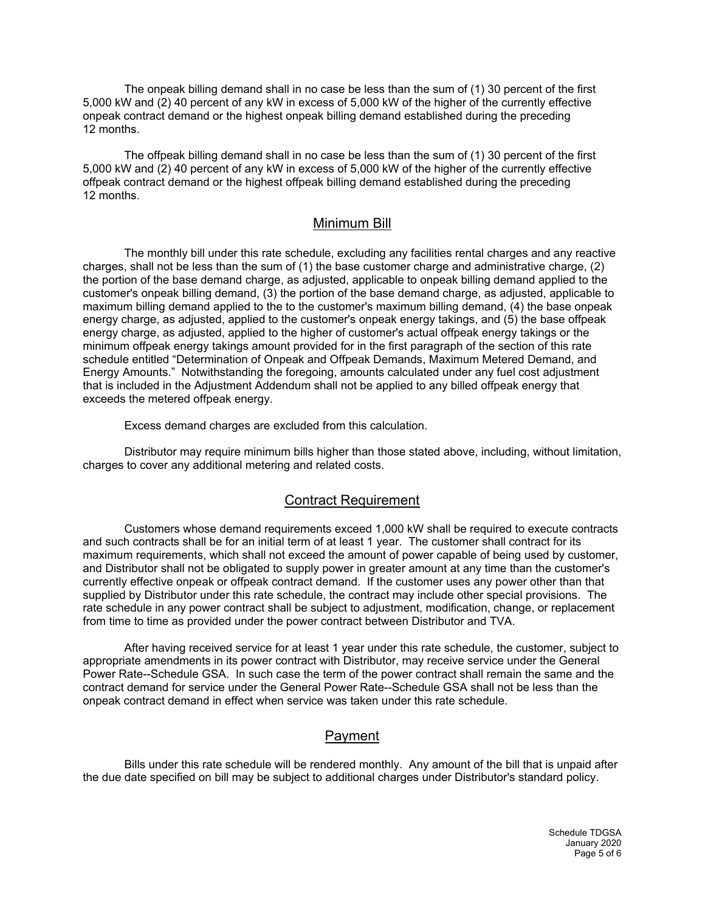The onpeak billing demand shall in no case be less than the sum of (1) 30 percent of the first 5,000 kW and (2) 40 percent of any kW in excess of 5,000 kW of the higher of the currently effective onpeak contract demand or the highest onpeak billing demand established during the preceding 12 months.

The offpeak billing demand shall in no case be less than the sum of (1) 30 percent of the first 5,000 kW and (2) 40 percent of any kW in excess of 5,000 kW of the higher of the currently effective offpeak contract demand or the highest offpeak billing demand established during the preceding 12 months.

### Minimum Bill

The monthly bill under this rate schedule, excluding any facilities rental charges and any reactive charges, shall not be less than the sum of (1) the base customer charge and administrative charge, (2) the portion of the base demand charge, as adjusted, applicable to onpeak billing demand applied to the customer's onpeak billing demand, (3) the portion of the base demand charge, as adjusted, applicable to maximum billing demand applied to the to the customer's maximum billing demand, (4) the base onpeak energy charge, as adjusted, applied to the customer's onpeak energy takings, and (5) the base offpeak energy charge, as adjusted, applied to the higher of customer's actual offpeak energy takings or the minimum offpeak energy takings amount provided for in the first paragraph of the section of this rate schedule entitled "Determination of Onpeak and Offpeak Demands, Maximum Metered Demand, and Energy Amounts." Notwithstanding the foregoing, amounts calculated under any fuel cost adjustment that is included in the Adjustment Addendum shall not be applied to any billed offpeak energy that exceeds the metered offpeak energy.

Excess demand charges are excluded from this calculation.

Distributor may require minimum bills higher than those stated above, including, without limitation, charges to cover any additional metering and related costs.

#### Contract Requirement

Customers whose demand requirements exceed 1,000 kW shall be required to execute contracts and such contracts shall be for an initial term of at least 1 year. The customer shall contract for its maximum requirements, which shall not exceed the amount of power capable of being used by customer, and Distributor shall not be obligated to supply power in greater amount at any time than the customer's currently effective onpeak or offpeak contract demand. If the customer uses any power other than that supplied by Distributor under this rate schedule, the contract may include other special provisions. The rate schedule in any power contract shall be subject to adjustment, modification, change, or replacement from time to time as provided under the power contract between Distributor and TVA.

After having received service for at least 1 year under this rate schedule, the customer, subject to appropriate amendments in its power contract with Distributor, may receive service under the General Power Rate--Schedule GSA. In such case the term of the power contract shall remain the same and the contract demand for service under the General Power Rate--Schedule GSA shall not be less than the onpeak contract demand in effect when service was taken under this rate schedule.

## Payment

Bills under this rate schedule will be rendered monthly. Any amount of the bill that is unpaid after the due date specified on bill may be subject to additional charges under Distributor's standard policy.